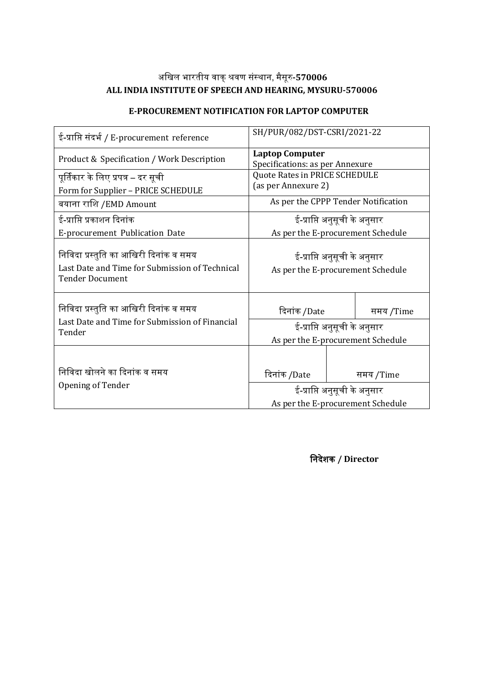# अखिल भारतीय वाक्शवर संस्ाा, मैसूर**-570006 ALL INDIA INSTITUTE OF SPEECH AND HEARING, MYSURU-570006**

| ई-प्राप्ति संदर्भ / E-procurement reference                                                                        | SH/PUR/082/DST-CSRI/2021-22                                       |                                     |           |  |  |
|--------------------------------------------------------------------------------------------------------------------|-------------------------------------------------------------------|-------------------------------------|-----------|--|--|
| Product & Specification / Work Description                                                                         | <b>Laptop Computer</b><br>Specifications: as per Annexure         |                                     |           |  |  |
| पूर्तिकार के लिए प्रपत्र – दर सूची<br>Form for Supplier - PRICE SCHEDULE                                           | Quote Rates in PRICE SCHEDULE<br>(as per Annexure 2)              |                                     |           |  |  |
| बयाना राशि /EMD Amount                                                                                             |                                                                   | As per the CPPP Tender Notification |           |  |  |
| ई-प्राप्ति प्रकाशन दिनांक                                                                                          | ई-प्राप्ति अनुसूची के अनुसार                                      |                                     |           |  |  |
| E-procurement Publication Date                                                                                     | As per the E-procurement Schedule                                 |                                     |           |  |  |
| निविदा प्रस्तुति का आखिरी दिनांक व समय<br>Last Date and Time for Submission of Technical<br><b>Tender Document</b> | ई-प्राप्ति अनुसूची के अनुसार<br>As per the E-procurement Schedule |                                     |           |  |  |
| निविदा प्रस्तुति का आखिरी दिनांक व समय                                                                             | दिनांक /Date                                                      |                                     | समय /Time |  |  |
| Last Date and Time for Submission of Financial<br>Tender                                                           | ई-प्राप्ति अनुसूची के अनुसार                                      |                                     |           |  |  |
|                                                                                                                    | As per the E-procurement Schedule                                 |                                     |           |  |  |
| निविदा खोलने का दिनांक व समय<br>Opening of Tender                                                                  | दिनांक /Date                                                      |                                     | समय /Time |  |  |
|                                                                                                                    | ई-प्राप्ति अनुसूची के अनुसार<br>As per the E-procurement Schedule |                                     |           |  |  |
|                                                                                                                    |                                                                   |                                     |           |  |  |

#### **E-PROCUREMENT NOTIFICATION FOR LAPTOP COMPUTER**

**निदेशक / Director**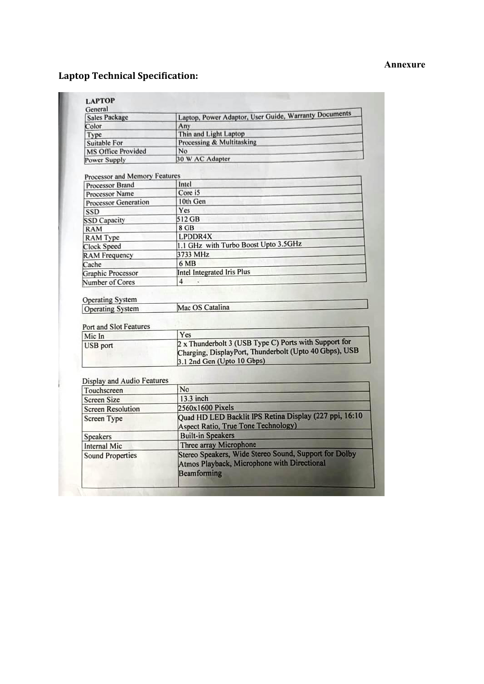#### **Annexure**

# **Laptop Technical Specification:**

| General<br><b>Sales Package</b>                                                                                                                                                                                                                                                       | Laptop, Power Adaptor, User Guide, Warranty Documents                                                                                         |  |  |  |
|---------------------------------------------------------------------------------------------------------------------------------------------------------------------------------------------------------------------------------------------------------------------------------------|-----------------------------------------------------------------------------------------------------------------------------------------------|--|--|--|
| Color                                                                                                                                                                                                                                                                                 | Any                                                                                                                                           |  |  |  |
| Type                                                                                                                                                                                                                                                                                  | Thin and Light Laptop                                                                                                                         |  |  |  |
| Suitable For                                                                                                                                                                                                                                                                          | Processing & Multitasking                                                                                                                     |  |  |  |
| <b>MS Office Provided</b>                                                                                                                                                                                                                                                             | No                                                                                                                                            |  |  |  |
| Power Supply                                                                                                                                                                                                                                                                          | 30 W AC Adapter                                                                                                                               |  |  |  |
|                                                                                                                                                                                                                                                                                       |                                                                                                                                               |  |  |  |
| Processor and Memory Features                                                                                                                                                                                                                                                         |                                                                                                                                               |  |  |  |
| Processor Brand                                                                                                                                                                                                                                                                       | Intel                                                                                                                                         |  |  |  |
| <b>Processor Name</b>                                                                                                                                                                                                                                                                 | Core i5                                                                                                                                       |  |  |  |
| <b>Processor Generation</b>                                                                                                                                                                                                                                                           | 10th Gen                                                                                                                                      |  |  |  |
| <b>SSD</b>                                                                                                                                                                                                                                                                            | Yes                                                                                                                                           |  |  |  |
| <b>SSD Capacity</b>                                                                                                                                                                                                                                                                   | 512 GB                                                                                                                                        |  |  |  |
| <b>RAM</b>                                                                                                                                                                                                                                                                            | 8 GB                                                                                                                                          |  |  |  |
| <b>RAM</b> Type                                                                                                                                                                                                                                                                       | LPDDR4X                                                                                                                                       |  |  |  |
| <b>Clock Speed</b>                                                                                                                                                                                                                                                                    | 1.1 GHz with Turbo Boost Upto 3.5GHz                                                                                                          |  |  |  |
| <b>RAM Frequency</b>                                                                                                                                                                                                                                                                  | 3733 MHz                                                                                                                                      |  |  |  |
| Cache                                                                                                                                                                                                                                                                                 | 6 MB                                                                                                                                          |  |  |  |
| <b>Graphic Processor</b>                                                                                                                                                                                                                                                              | <b>Intel Integrated Iris Plus</b>                                                                                                             |  |  |  |
| Number of Cores                                                                                                                                                                                                                                                                       | $\overline{4}$                                                                                                                                |  |  |  |
|                                                                                                                                                                                                                                                                                       |                                                                                                                                               |  |  |  |
|                                                                                                                                                                                                                                                                                       | Mac OS Catalina                                                                                                                               |  |  |  |
|                                                                                                                                                                                                                                                                                       |                                                                                                                                               |  |  |  |
|                                                                                                                                                                                                                                                                                       | Yes                                                                                                                                           |  |  |  |
|                                                                                                                                                                                                                                                                                       | 2 x Thunderbolt 3 (USB Type C) Ports with Support for<br>Charging, DisplayPort, Thunderbolt (Upto 40 Gbps), USB<br>3.1 2nd Gen (Upto 10 Gbps) |  |  |  |
|                                                                                                                                                                                                                                                                                       |                                                                                                                                               |  |  |  |
|                                                                                                                                                                                                                                                                                       | No                                                                                                                                            |  |  |  |
|                                                                                                                                                                                                                                                                                       | 13.3 inch                                                                                                                                     |  |  |  |
|                                                                                                                                                                                                                                                                                       | 2560x1600 Pixels                                                                                                                              |  |  |  |
|                                                                                                                                                                                                                                                                                       |                                                                                                                                               |  |  |  |
|                                                                                                                                                                                                                                                                                       | Quad HD LED Backlit IPS Retina Display (227 ppi, 16:10)                                                                                       |  |  |  |
|                                                                                                                                                                                                                                                                                       | <b>Aspect Ratio, True Tone Technology)</b>                                                                                                    |  |  |  |
|                                                                                                                                                                                                                                                                                       | <b>Built-in Speakers</b>                                                                                                                      |  |  |  |
| <b>Operating System</b><br><b>Operating System</b><br>Port and Slot Features<br>Mic In<br>USB port<br>Display and Audio Features<br>Touchscreen<br><b>Screen Size</b><br><b>Screen Resolution</b><br><b>Screen Type</b><br>Speakers<br><b>Internal Mic</b><br><b>Sound Properties</b> | Three array Microphone<br>Stereo Speakers, Wide Stereo Sound, Support for Dolby                                                               |  |  |  |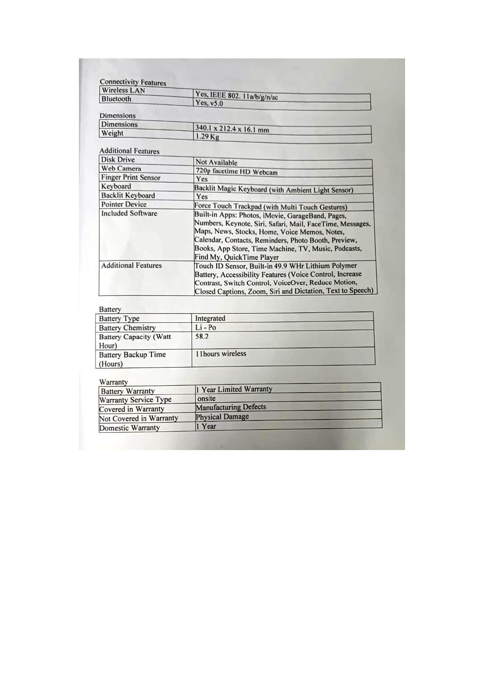| <b>Wireless LAN</b>        |                                                                                                                                                                                                                                                                                                              |  |  |  |  |
|----------------------------|--------------------------------------------------------------------------------------------------------------------------------------------------------------------------------------------------------------------------------------------------------------------------------------------------------------|--|--|--|--|
| Bluetooth                  | Yes, IEEE 802. 11a/b/g/n/ac<br>Yes, v5.0                                                                                                                                                                                                                                                                     |  |  |  |  |
|                            |                                                                                                                                                                                                                                                                                                              |  |  |  |  |
| <b>Dimensions</b>          |                                                                                                                                                                                                                                                                                                              |  |  |  |  |
| <b>Dimensions</b>          | 340.1 x 212.4 x 16.1 mm                                                                                                                                                                                                                                                                                      |  |  |  |  |
| Weight                     | $1.29$ Kg                                                                                                                                                                                                                                                                                                    |  |  |  |  |
|                            |                                                                                                                                                                                                                                                                                                              |  |  |  |  |
| <b>Additional Features</b> |                                                                                                                                                                                                                                                                                                              |  |  |  |  |
| <b>Disk Drive</b>          | Not Available                                                                                                                                                                                                                                                                                                |  |  |  |  |
| Web Camera                 | 720p facetime HD Webcam                                                                                                                                                                                                                                                                                      |  |  |  |  |
| <b>Finger Print Sensor</b> | Yes                                                                                                                                                                                                                                                                                                          |  |  |  |  |
| Keyboard                   | Backlit Magic Keyboard (with Ambient Light Sensor)                                                                                                                                                                                                                                                           |  |  |  |  |
| <b>Backlit Keyboard</b>    | Yes                                                                                                                                                                                                                                                                                                          |  |  |  |  |
| <b>Pointer Device</b>      | Force Touch Trackpad (with Multi Touch Gestures)                                                                                                                                                                                                                                                             |  |  |  |  |
| <b>Included Software</b>   | Built-in Apps: Photos, iMovie, GarageBand, Pages,<br>Numbers, Keynote, Siri, Safari, Mail, FaceTime, Messages,<br>Maps, News, Stocks, Home, Voice Memos, Notes,<br>Calendar, Contacts, Reminders, Photo Booth, Preview,<br>Books, App Store, Time Machine, TV, Music, Podcasts,<br>Find My, QuickTime Player |  |  |  |  |
| <b>Additional Features</b> | Touch ID Sensor, Built-in 49.9 WHr Lithium Polymer<br>Battery, Accessibility Features (Voice Control, Increase<br>Contrast, Switch Control, VoiceOver, Reduce Motion,<br>Closed Captions, Zoom, Siri and Dictation, Text to Speech)                                                                          |  |  |  |  |

## Battery

| <b>Battery Type</b>                    | Integrated        |
|----------------------------------------|-------------------|
| <b>Battery Chemistry</b>               | $Li$ - Po         |
| <b>Battery Capacity (Watt</b><br>Hour) | 58.2              |
| <b>Battery Backup Time</b><br>(Hours)  | 11 hours wireless |

#### Warranty

| $\mathbf{v}$ and $\mathbf{u}$<br><b>Battery Warranty</b> | 1 Year Limited Warranty      |  |  |  |
|----------------------------------------------------------|------------------------------|--|--|--|
| Warranty Service Type                                    | onsite                       |  |  |  |
| Covered in Warranty                                      | <b>Manufacturing Defects</b> |  |  |  |
| Not Covered in Warranty                                  | <b>Physical Damage</b>       |  |  |  |
| Domestic Warranty                                        | 1 Year                       |  |  |  |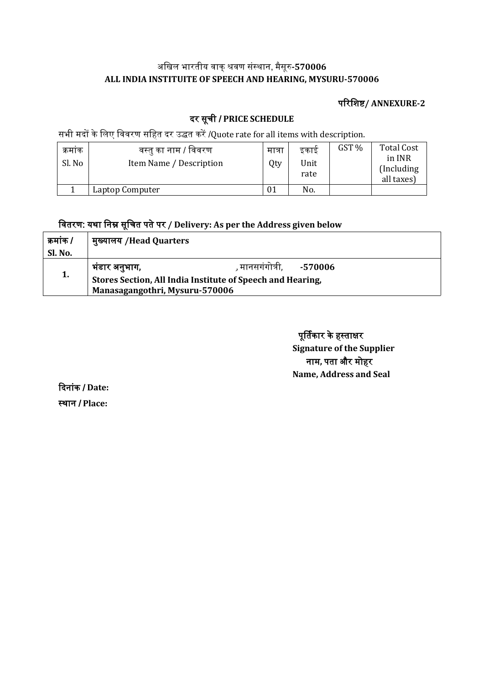## अखिल भारतीय वाक्शवर संस्ाा, मैसूर**-570006 ALL INDIA INSTITUITE OF SPEECH AND HEARING, MYSURU-570006**

### पररखिष**/ ANNEXURE-2**

# दर सूची / **PRICE SCHEDULE**

सभी मदों के लिए विवरण सहित दर उद्धत करें /Quote rate for all items with description.

| क्रमाक<br>Sl. No | वस्तु का नाम / विवरण<br>Item Name / Description | मात्रा<br>Qty | इकाइ<br>Unit<br>rate | GST % | <b>Total Cost</b><br>in INR<br>(Including)<br>all taxes) |  |
|------------------|-------------------------------------------------|---------------|----------------------|-------|----------------------------------------------------------|--|
|                  | Laptop Computer                                 | 01            | No.                  |       |                                                          |  |

# खवतरर: य्ा खाम सूखचत पतेपर **/ Delivery: As per the Address given below**

| कमांक / | मुख्यालय /Head Quarters                                    |                                |  |  |  |
|---------|------------------------------------------------------------|--------------------------------|--|--|--|
| Sl. No. |                                                            |                                |  |  |  |
|         | भंडार अनुभाग,                                              | , मानसगंगोत्री.        -570006 |  |  |  |
| 1.      | Stores Section, All India Institute of Speech and Hearing, |                                |  |  |  |
|         | Manasagangothri, Mysuru-570006                             |                                |  |  |  |

पूर्तिकार के हस्ताक्षर **Signature of the Supplier** नाम, पता और मोहर **Name, Address and Seal**

ददाांक / **Date:** स्थान / Place: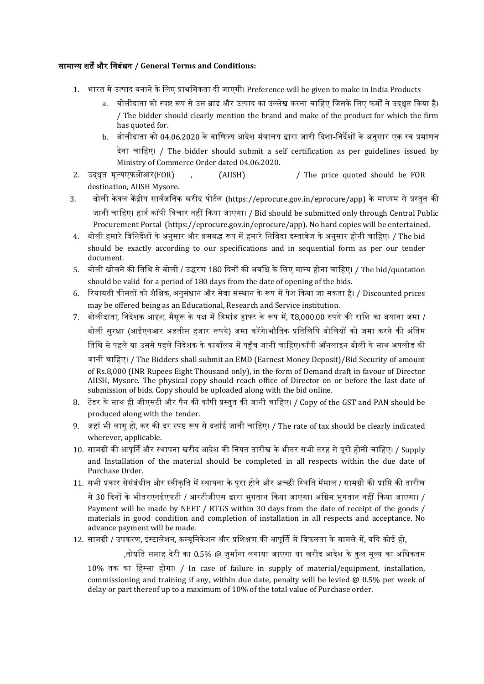#### सामानय ित्और खाबंधा **/ General Terms and Conditions:**

- 1. भारत में उत्पाद बनाने के लिए प्राथमिकता दी जाएगी। Preference will be given to make in India Products
	- a. बोलीदाता को स्पष्ट रूप से उस ब्रांड और उत्पाद का उल्लेख करना चाहिए जिसके लिए फर्मों ने उदधत किया है। / The bidder should clearly mention the brand and make of the product for which the firm has quoted for.
	- b. बोलीदाता को 04.06.2020 के वाणिज्य आदेश मंत्रालय द्वारा जारी दिशा-निर्देशों के अनुसार एक स्व प्रमाणन देना चाहिए। / The bidder should submit a self certification as per guidelines issued by Ministry of Commerce Order dated 04.06.2020.
- 2. उदधधत मूलयएफफआर(FOR) , (AIISH) / The price quoted should be FOR destination, AIISH Mysore.
- 3. बोली केवल केंद्रीय सार्वजनिक खरीद पोर्टल (https://eprocure.gov.in/eprocure/app) के माध्यम से प्रस्तुत की जानी चाहिए। हार्ड कॉपी विचार नहीं किया जाएगा। / Bid should be submitted only through Central Public Procurement Portal (https://eprocure.gov.in/eprocure/app). No hard copies will be entertained.
- 4. बोली हमारे विनिर्देशों के अनसार और क्रमबद्ध रूप में हमारे निविदा दस्तावेज के अनसार होनी चाहिए। / The bid should be exactly according to our specifications and in sequential form as per our tender document.
- 5. बोली खोलने की तिथि से बोली / उद्धरण 180 दिनों की अवधि के लिए मान्य होना चाहिए। / The bid/quotation should be valid for a period of 180 days from the date of opening of the bids.
- 6. रियायती कीमतों को शैक्षिक, अनसंधान और सेवा संस्थान के रूप में पेश किया जा सकता है। / Discounted prices may be offered being as an Educational, Research and Service institution.
- 7. बोलीदाता, निदेशक आइश, मैसूरू के पक्ष में डिमांड डाफ्ट के रूप में, ₹8,000.00 रुपये की राशि का बयाना जमा / बोली सुरक्षा (आईएनआर अड़तीस हजार रूपये) जमा करेंगे।भौतिक प्रतिलिपि बोलियों को जमा करने की अंतिम तिथि से पहले या उससे पहले निदेशक के कार्यालय में पहुँच जानी चाहिए।कॉपी ऑनलाइन बोली के साथ अपलोड की जानी चाहिए। / The Bidders shall submit an EMD (Earnest Money Deposit)/Bid Security of amount

of Rs.8,000 (INR Rupees Eight Thousand only), in the form of Demand draft in favour of Director AIISH, Mysore. The physical copy should reach office of Director on or before the last date of submission of bids. Copy should be uploaded along with the bid online.

- 8. टेंडर के साथ ही जीएसटी और पैन की कॉपी प्रस्तुत की जानी चाहिए। / Copy of the GST and PAN should be produced along with the tender.
- 9. जहां भी लागू हो, कर की दर स्पष्ट रूप से दर्शाई जानी चाहिए। / The rate of tax should be clearly indicated wherever, applicable.
- 10. सामग्री की आपर्ति और स्थापना खरीद आदेश की नियत तारीख के भीतर सभी तरह से परी होनी चाहिए। / Supply and Installation of the material should be completed in all respects within the due date of Purchase Order.
- 11. सभी प्रकार सेसंबंधीत और स्वीकति में स्थापना के परा होने और अच्छी स्थिति मेंमाल / सामग्री की प्राप्ति की तारीख

से 30 दिनों के भीतरएनईएफटी / आरटीजीएस द्वारा भुगतान किया जाएगा। अग्रिम भुगतान नहीं किया जाएगा। / Payment will be made by NEFT / RTGS within 30 days from the date of receipt of the goods / materials in good condition and completion of installation in all respects and acceptance. No advance payment will be made.

#### 12. सामग्री / उपकरण, इंस्टालेशन, कम्युनिकेशन और प्रशिक्षण की आपूर्ति में विफलता के मामले में, यदि कोई हो,

,तोप्रति सप्ताह देरी का 0.5% @ जर्माना लगाया जाएगा या खरीद आदेश के कल मल्य का अधिकतम

10% तक का हिस्सा होगा। / In case of failure in supply of material/equipment, installation, commissioning and training if any, within due date, penalty will be levied  $@$  0.5% per week of delay or part thereof up to a maximum of 10% of the total value of Purchase order.